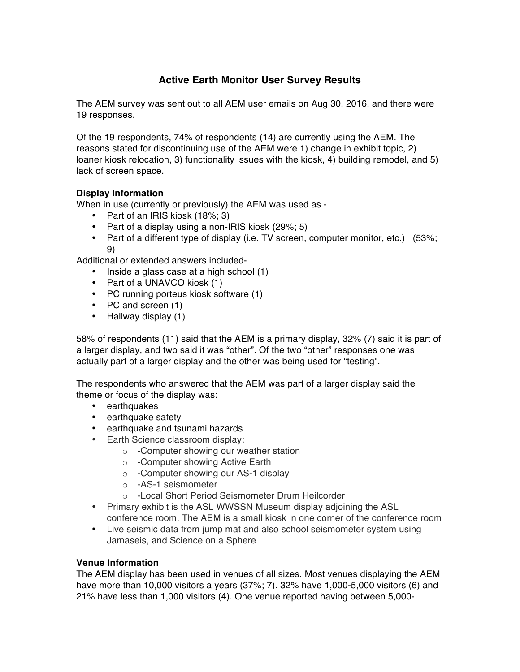# **Active Earth Monitor User Survey Results**

The AEM survey was sent out to all AEM user emails on Aug 30, 2016, and there were 19 responses.

Of the 19 respondents, 74% of respondents (14) are currently using the AEM. The reasons stated for discontinuing use of the AEM were 1) change in exhibit topic, 2) loaner kiosk relocation, 3) functionality issues with the kiosk, 4) building remodel, and 5) lack of screen space.

## **Display Information**

When in use (currently or previously) the AEM was used as -

- Part of an IRIS kiosk (18%; 3)
- Part of a display using a non-IRIS kiosk (29%; 5)
- Part of a different type of display (i.e. TV screen, computer monitor, etc.) (53%; 9)

Additional or extended answers included-

- Inside a glass case at a high school (1)
- Part of a UNAVCO kiosk (1)
- PC running porteus kiosk software (1)
- PC and screen (1)
- Hallway display (1)

58% of respondents (11) said that the AEM is a primary display, 32% (7) said it is part of a larger display, and two said it was "other". Of the two "other" responses one was actually part of a larger display and the other was being used for "testing".

The respondents who answered that the AEM was part of a larger display said the theme or focus of the display was:

- earthquakes
- earthquake safety
- earthquake and tsunami hazards
- Earth Science classroom display:
	- o -Computer showing our weather station
	- o -Computer showing Active Earth
	- o -Computer showing our AS-1 display
	- o -AS-1 seismometer
	- o -Local Short Period Seismometer Drum Heilcorder
- Primary exhibit is the ASL WWSSN Museum display adjoining the ASL conference room. The AEM is a small kiosk in one corner of the conference room
- Live seismic data from jump mat and also school seismometer system using Jamaseis, and Science on a Sphere

### **Venue Information**

The AEM display has been used in venues of all sizes. Most venues displaying the AEM have more than 10,000 visitors a years (37%; 7). 32% have 1,000-5,000 visitors (6) and 21% have less than 1,000 visitors (4). One venue reported having between 5,000-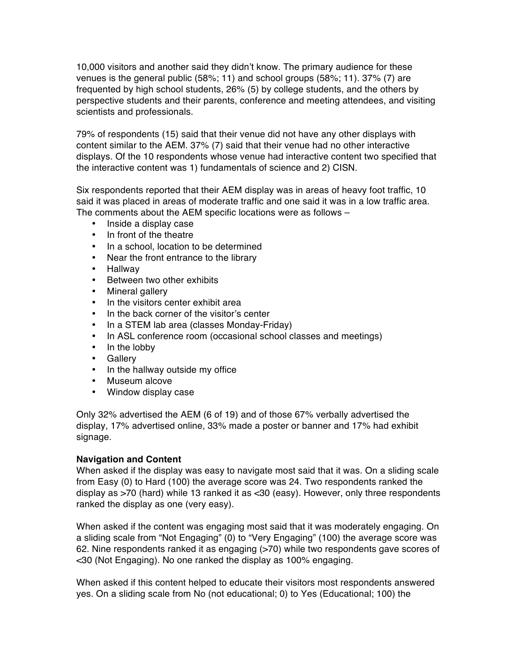10,000 visitors and another said they didn't know. The primary audience for these venues is the general public (58%; 11) and school groups (58%; 11). 37% (7) are frequented by high school students, 26% (5) by college students, and the others by perspective students and their parents, conference and meeting attendees, and visiting scientists and professionals.

79% of respondents (15) said that their venue did not have any other displays with content similar to the AEM. 37% (7) said that their venue had no other interactive displays. Of the 10 respondents whose venue had interactive content two specified that the interactive content was 1) fundamentals of science and 2) CISN.

Six respondents reported that their AEM display was in areas of heavy foot traffic, 10 said it was placed in areas of moderate traffic and one said it was in a low traffic area. The comments about the AEM specific locations were as follows –

- Inside a display case
- In front of the theatre
- In a school, location to be determined
- Near the front entrance to the library
- Hallway
- Between two other exhibits
- Mineral gallery
- In the visitors center exhibit area
- In the back corner of the visitor's center
- In a STEM lab area (classes Monday-Friday)
- In ASL conference room (occasional school classes and meetings)
- In the lobby
- Gallery
- In the hallway outside my office
- Museum alcove
- Window display case

Only 32% advertised the AEM (6 of 19) and of those 67% verbally advertised the display, 17% advertised online, 33% made a poster or banner and 17% had exhibit signage.

#### **Navigation and Content**

When asked if the display was easy to navigate most said that it was. On a sliding scale from Easy (0) to Hard (100) the average score was 24. Two respondents ranked the display as >70 (hard) while 13 ranked it as <30 (easy). However, only three respondents ranked the display as one (very easy).

When asked if the content was engaging most said that it was moderately engaging. On a sliding scale from "Not Engaging" (0) to "Very Engaging" (100) the average score was 62. Nine respondents ranked it as engaging (>70) while two respondents gave scores of <30 (Not Engaging). No one ranked the display as 100% engaging.

When asked if this content helped to educate their visitors most respondents answered yes. On a sliding scale from No (not educational; 0) to Yes (Educational; 100) the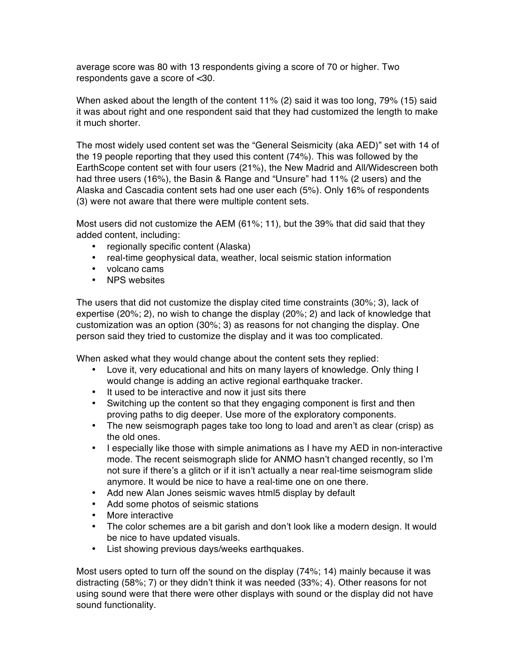average score was 80 with 13 respondents giving a score of 70 or higher. Two respondents gave a score of <30.

When asked about the length of the content 11% (2) said it was too long, 79% (15) said it was about right and one respondent said that they had customized the length to make it much shorter.

The most widely used content set was the "General Seismicity (aka AED)" set with 14 of the 19 people reporting that they used this content (74%). This was followed by the EarthScope content set with four users (21%), the New Madrid and All/Widescreen both had three users (16%), the Basin & Range and "Unsure" had 11% (2 users) and the Alaska and Cascadia content sets had one user each (5%). Only 16% of respondents (3) were not aware that there were multiple content sets.

Most users did not customize the AEM (61%; 11), but the 39% that did said that they added content, including:

- regionally specific content (Alaska)
- real-time geophysical data, weather, local seismic station information
- volcano cams
- NPS websites

The users that did not customize the display cited time constraints (30%; 3), lack of expertise (20%; 2), no wish to change the display (20%; 2) and lack of knowledge that customization was an option (30%; 3) as reasons for not changing the display. One person said they tried to customize the display and it was too complicated.

When asked what they would change about the content sets they replied:

- Love it, very educational and hits on many layers of knowledge. Only thing I would change is adding an active regional earthquake tracker.
- It used to be interactive and now it just sits there
- Switching up the content so that they engaging component is first and then proving paths to dig deeper. Use more of the exploratory components.
- The new seismograph pages take too long to load and aren't as clear (crisp) as the old ones.
- I especially like those with simple animations as I have my AED in non-interactive mode. The recent seismograph slide for ANMO hasn't changed recently, so I'm not sure if there's a glitch or if it isn't actually a near real-time seismogram slide anymore. It would be nice to have a real-time one on one there.
- Add new Alan Jones seismic waves html5 display by default
- Add some photos of seismic stations
- More interactive
- The color schemes are a bit garish and don't look like a modern design. It would be nice to have updated visuals.
- List showing previous days/weeks earthquakes.

Most users opted to turn off the sound on the display (74%; 14) mainly because it was distracting (58%; 7) or they didn't think it was needed (33%; 4). Other reasons for not using sound were that there were other displays with sound or the display did not have sound functionality.